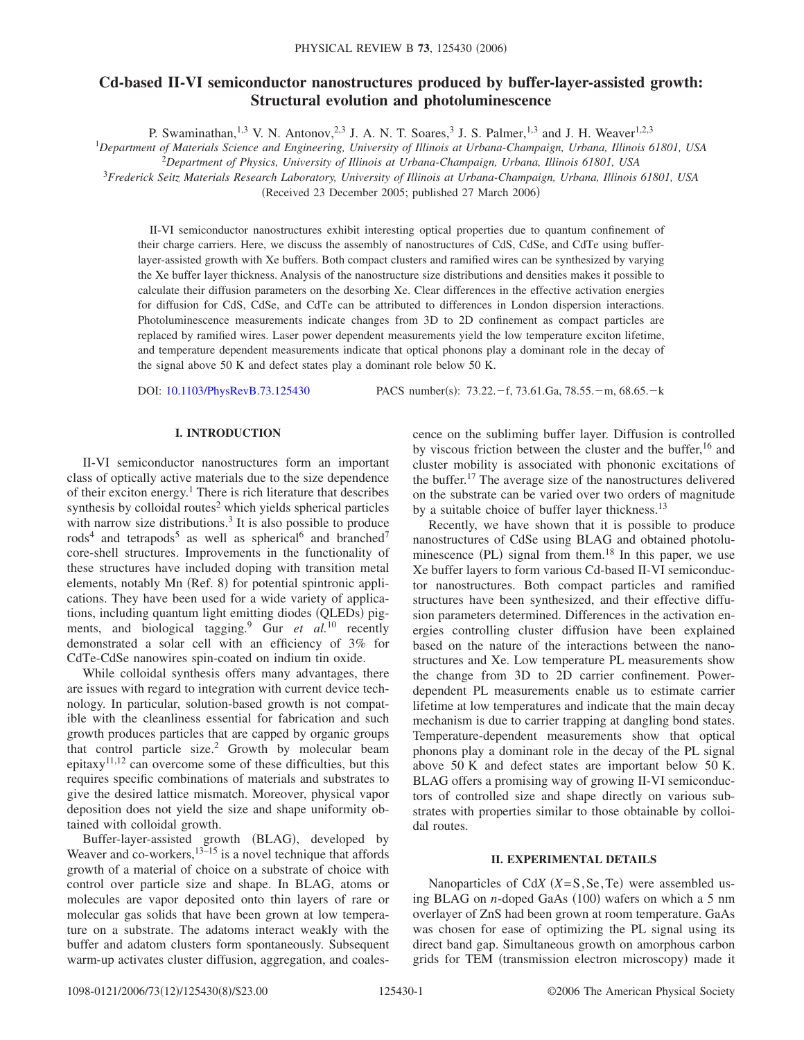# **Cd-based II-VI semiconductor nanostructures produced by buffer-layer-assisted growth: Structural evolution and photoluminescence**

P. Swaminathan,  $^{1,3}$  V. N. Antonov,  $^{2,3}$  J. A. N. T. Soares,  $^3$  J. S. Palmer,  $^{1,3}$  and J. H. Weaver $^{1,2,3}$ 

<sup>1</sup>*Department of Materials Science and Engineering, University of Illinois at Urbana-Champaign, Urbana, Illinois 61801, USA*

2 *Department of Physics, University of Illinois at Urbana-Champaign, Urbana, Illinois 61801, USA*

<sup>3</sup>*Frederick Seitz Materials Research Laboratory, University of Illinois at Urbana-Champaign, Urbana, Illinois 61801, USA*

(Received 23 December 2005; published 27 March 2006)

II-VI semiconductor nanostructures exhibit interesting optical properties due to quantum confinement of their charge carriers. Here, we discuss the assembly of nanostructures of CdS, CdSe, and CdTe using bufferlayer-assisted growth with Xe buffers. Both compact clusters and ramified wires can be synthesized by varying the Xe buffer layer thickness. Analysis of the nanostructure size distributions and densities makes it possible to calculate their diffusion parameters on the desorbing Xe. Clear differences in the effective activation energies for diffusion for CdS, CdSe, and CdTe can be attributed to differences in London dispersion interactions. Photoluminescence measurements indicate changes from 3D to 2D confinement as compact particles are replaced by ramified wires. Laser power dependent measurements yield the low temperature exciton lifetime, and temperature dependent measurements indicate that optical phonons play a dominant role in the decay of the signal above 50 K and defect states play a dominant role below 50 K.

DOI: [10.1103/PhysRevB.73.125430](http://dx.doi.org/10.1103/PhysRevB.73.125430)

PACS number(s):  $73.22 - f$ ,  $73.61$ .Ga,  $78.55 - m$ ,  $68.65 - k$ 

## **I. INTRODUCTION**

II-VI semiconductor nanostructures form an important class of optically active materials due to the size dependence of their exciton energy.<sup>1</sup> There is rich literature that describes synthesis by colloidal routes<sup>2</sup> which yields spherical particles with narrow size distributions. $3$  It is also possible to produce  $rods<sup>4</sup>$  and tetrapods<sup>5</sup> as well as spherical<sup>6</sup> and branched<sup>7</sup> core-shell structures. Improvements in the functionality of these structures have included doping with transition metal elements, notably Mn (Ref. 8) for potential spintronic applications. They have been used for a wide variety of applications, including quantum light emitting diodes (QLEDs) pigments, and biological tagging.9 Gur *et al.*<sup>10</sup> recently demonstrated a solar cell with an efficiency of 3% for CdTe-CdSe nanowires spin-coated on indium tin oxide.

While colloidal synthesis offers many advantages, there are issues with regard to integration with current device technology. In particular, solution-based growth is not compatible with the cleanliness essential for fabrication and such growth produces particles that are capped by organic groups that control particle size.2 Growth by molecular beam epitaxy<sup>11,12</sup> can overcome some of these difficulties, but this requires specific combinations of materials and substrates to give the desired lattice mismatch. Moreover, physical vapor deposition does not yield the size and shape uniformity obtained with colloidal growth.

Buffer-layer-assisted growth (BLAG), developed by Weaver and co-workers,  $13-15$  is a novel technique that affords growth of a material of choice on a substrate of choice with control over particle size and shape. In BLAG, atoms or molecules are vapor deposited onto thin layers of rare or molecular gas solids that have been grown at low temperature on a substrate. The adatoms interact weakly with the buffer and adatom clusters form spontaneously. Subsequent warm-up activates cluster diffusion, aggregation, and coalescence on the subliming buffer layer. Diffusion is controlled by viscous friction between the cluster and the buffer,<sup>16</sup> and cluster mobility is associated with phononic excitations of the buffer.17 The average size of the nanostructures delivered on the substrate can be varied over two orders of magnitude by a suitable choice of buffer layer thickness.<sup>13</sup>

Recently, we have shown that it is possible to produce nanostructures of CdSe using BLAG and obtained photoluminescence (PL) signal from them.<sup>18</sup> In this paper, we use Xe buffer layers to form various Cd-based II-VI semiconductor nanostructures. Both compact particles and ramified structures have been synthesized, and their effective diffusion parameters determined. Differences in the activation energies controlling cluster diffusion have been explained based on the nature of the interactions between the nanostructures and Xe. Low temperature PL measurements show the change from 3D to 2D carrier confinement. Powerdependent PL measurements enable us to estimate carrier lifetime at low temperatures and indicate that the main decay mechanism is due to carrier trapping at dangling bond states. Temperature-dependent measurements show that optical phonons play a dominant role in the decay of the PL signal above 50 K and defect states are important below 50 K. BLAG offers a promising way of growing II-VI semiconductors of controlled size and shape directly on various substrates with properties similar to those obtainable by colloidal routes.

## **II. EXPERIMENTAL DETAILS**

Nanoparticles of Cd*X*  $(X = S, Se, Te)$  were assembled using BLAG on *n*-doped GaAs (100) wafers on which a 5 nm overlayer of ZnS had been grown at room temperature. GaAs was chosen for ease of optimizing the PL signal using its direct band gap. Simultaneous growth on amorphous carbon grids for TEM (transmission electron microscopy) made it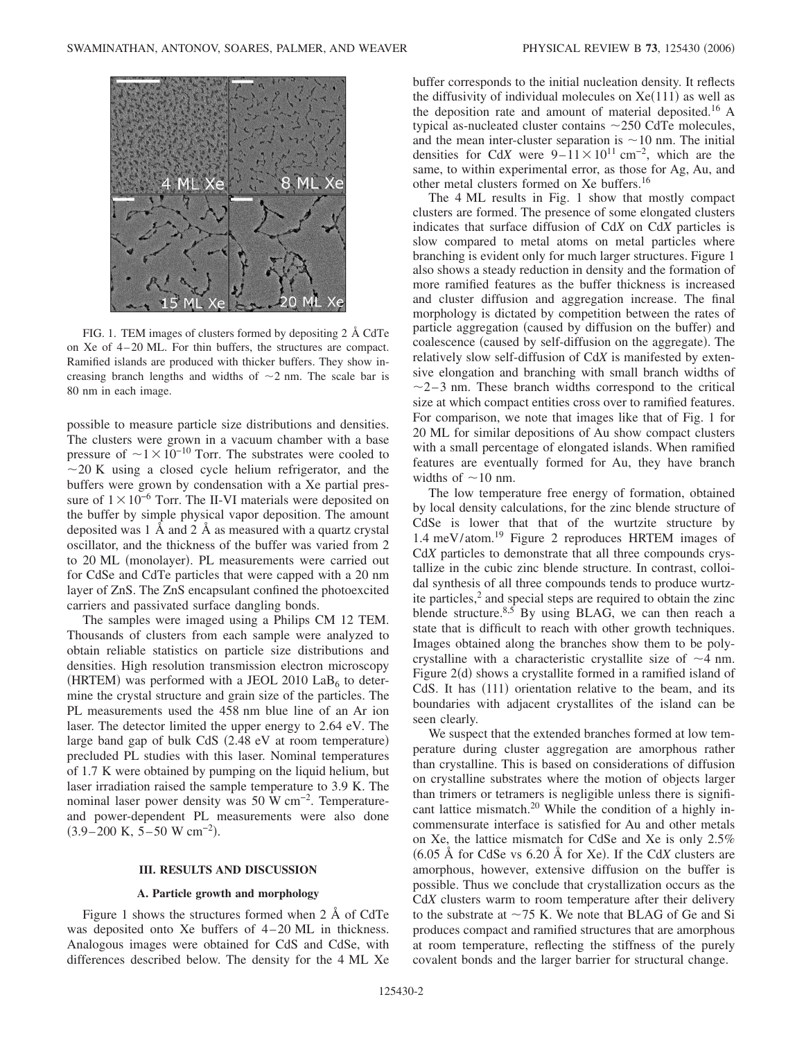

FIG. 1. TEM images of clusters formed by depositing 2 Å CdTe on Xe of 4 – 20 ML. For thin buffers, the structures are compact. Ramified islands are produced with thicker buffers. They show increasing branch lengths and widths of  $\sim$ 2 nm. The scale bar is 80 nm in each image.

possible to measure particle size distributions and densities. The clusters were grown in a vacuum chamber with a base pressure of  $\sim$ 1 $\times$ 10<sup>-10</sup> Torr. The substrates were cooled to  $\sim$ 20 K using a closed cycle helium refrigerator, and the buffers were grown by condensation with a Xe partial pressure of  $1 \times 10^{-6}$  Torr. The II-VI materials were deposited on the buffer by simple physical vapor deposition. The amount deposited was 1 Å and 2 Å as measured with a quartz crystal oscillator, and the thickness of the buffer was varied from 2 to 20 ML (monolayer). PL measurements were carried out for CdSe and CdTe particles that were capped with a 20 nm layer of ZnS. The ZnS encapsulant confined the photoexcited carriers and passivated surface dangling bonds.

The samples were imaged using a Philips CM 12 TEM. Thousands of clusters from each sample were analyzed to obtain reliable statistics on particle size distributions and densities. High resolution transmission electron microscopy (HRTEM) was performed with a JEOL 2010  $\text{LaB}_6$  to determine the crystal structure and grain size of the particles. The PL measurements used the 458 nm blue line of an Ar ion laser. The detector limited the upper energy to 2.64 eV. The large band gap of bulk CdS (2.48 eV at room temperature) precluded PL studies with this laser. Nominal temperatures of 1.7 K were obtained by pumping on the liquid helium, but laser irradiation raised the sample temperature to 3.9 K. The nominal laser power density was 50 W cm<sup>-2</sup>. Temperatureand power-dependent PL measurements were also done  $(3.9-200 \text{ K}, 5-50 \text{ W cm}^{-2}).$ 

#### **III. RESULTS AND DISCUSSION**

### **A. Particle growth and morphology**

Figure 1 shows the structures formed when 2 Å of CdTe was deposited onto Xe buffers of 4-20 ML in thickness. Analogous images were obtained for CdS and CdSe, with differences described below. The density for the 4 ML Xe buffer corresponds to the initial nucleation density. It reflects the diffusivity of individual molecules on  $Xe(111)$  as well as the deposition rate and amount of material deposited.16 A typical as-nucleated cluster contains  $\sim$  250 CdTe molecules, and the mean inter-cluster separation is  $\sim$  10 nm. The initial densities for Cd*X* were  $9-11 \times 10^{11}$  cm<sup>-2</sup>, which are the same, to within experimental error, as those for Ag, Au, and other metal clusters formed on Xe buffers.<sup>16</sup>

The 4 ML results in Fig. 1 show that mostly compact clusters are formed. The presence of some elongated clusters indicates that surface diffusion of Cd*X* on Cd*X* particles is slow compared to metal atoms on metal particles where branching is evident only for much larger structures. Figure 1 also shows a steady reduction in density and the formation of more ramified features as the buffer thickness is increased and cluster diffusion and aggregation increase. The final morphology is dictated by competition between the rates of particle aggregation (caused by diffusion on the buffer) and coalescence (caused by self-diffusion on the aggregate). The relatively slow self-diffusion of Cd*X* is manifested by extensive elongation and branching with small branch widths of  $\sim$ 2–3 nm. These branch widths correspond to the critical size at which compact entities cross over to ramified features. For comparison, we note that images like that of Fig. 1 for 20 ML for similar depositions of Au show compact clusters with a small percentage of elongated islands. When ramified features are eventually formed for Au, they have branch widths of  $\sim$ 10 nm.

The low temperature free energy of formation, obtained by local density calculations, for the zinc blende structure of CdSe is lower that that of the wurtzite structure by 1.4 meV/atom.19 Figure 2 reproduces HRTEM images of Cd*X* particles to demonstrate that all three compounds crystallize in the cubic zinc blende structure. In contrast, colloidal synthesis of all three compounds tends to produce wurtzite particles, $<sup>2</sup>$  and special steps are required to obtain the zinc</sup> blende structure. $8,5$  By using BLAG, we can then reach a state that is difficult to reach with other growth techniques. Images obtained along the branches show them to be polycrystalline with a characteristic crystallite size of  $\sim$ 4 nm. Figure 2(d) shows a crystallite formed in a ramified island of CdS. It has (111) orientation relative to the beam, and its boundaries with adjacent crystallites of the island can be seen clearly.

We suspect that the extended branches formed at low temperature during cluster aggregation are amorphous rather than crystalline. This is based on considerations of diffusion on crystalline substrates where the motion of objects larger than trimers or tetramers is negligible unless there is significant lattice mismatch.<sup>20</sup> While the condition of a highly incommensurate interface is satisfied for Au and other metals on Xe, the lattice mismatch for CdSe and Xe is only 2.5%  $(6.05 \text{ Å}$  for CdSe vs  $6.20 \text{ Å}$  for Xe). If the Cd*X* clusters are amorphous, however, extensive diffusion on the buffer is possible. Thus we conclude that crystallization occurs as the Cd*X* clusters warm to room temperature after their delivery to the substrate at  $\sim$  75 K. We note that BLAG of Ge and Si produces compact and ramified structures that are amorphous at room temperature, reflecting the stiffness of the purely covalent bonds and the larger barrier for structural change.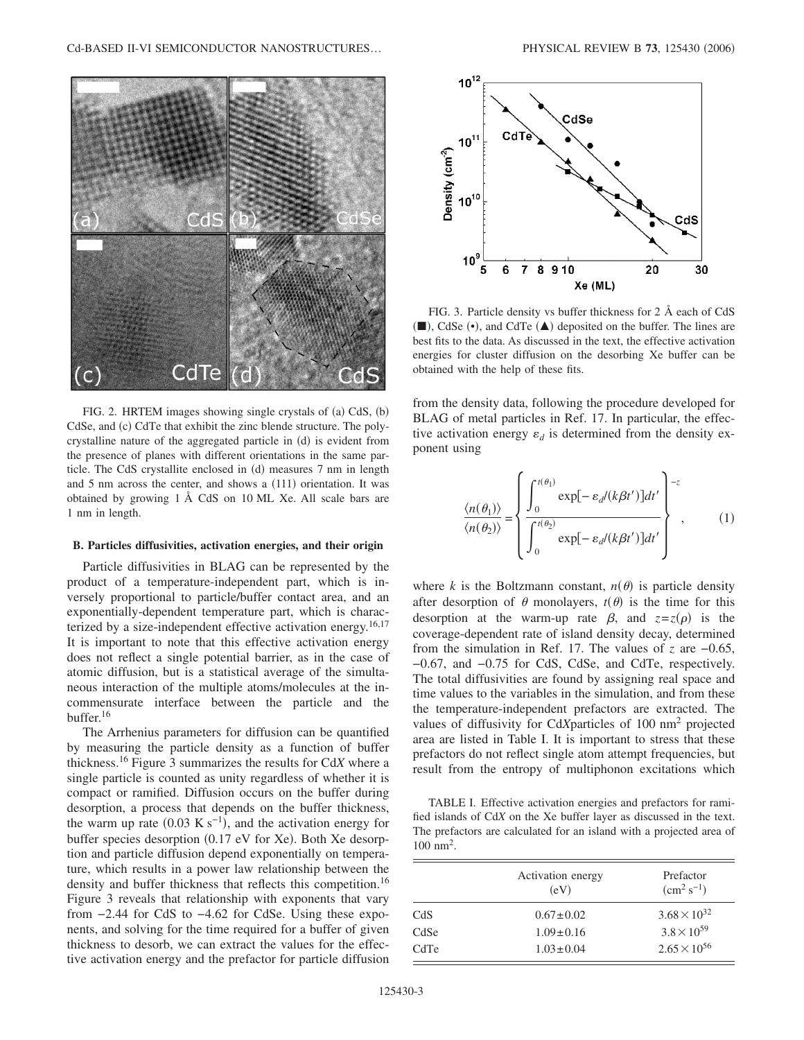Cd-BASED II-VI SEMICONDUCTOR NANOSTRUCTURES...



FIG. 2. HRTEM images showing single crystals of (a) CdS, (b) CdSe, and (c) CdTe that exhibit the zinc blende structure. The polycrystalline nature of the aggregated particle in (d) is evident from the presence of planes with different orientations in the same particle. The CdS crystallite enclosed in (d) measures 7 nm in length and 5 nm across the center, and shows a (111) orientation. It was obtained by growing 1 Å CdS on 10 ML Xe. All scale bars are 1 nm in length.

#### **B. Particles diffusivities, activation energies, and their origin**

Particle diffusivities in BLAG can be represented by the product of a temperature-independent part, which is inversely proportional to particle/buffer contact area, and an exponentially-dependent temperature part, which is characterized by a size-independent effective activation energy.<sup>16,17</sup> It is important to note that this effective activation energy does not reflect a single potential barrier, as in the case of atomic diffusion, but is a statistical average of the simultaneous interaction of the multiple atoms/molecules at the incommensurate interface between the particle and the buffer.<sup>16</sup>

The Arrhenius parameters for diffusion can be quantified by measuring the particle density as a function of buffer thickness.16 Figure 3 summarizes the results for Cd*X* where a single particle is counted as unity regardless of whether it is compact or ramified. Diffusion occurs on the buffer during desorption, a process that depends on the buffer thickness, the warm up rate  $(0.03 \text{ K s}^{-1})$ , and the activation energy for buffer species desorption (0.17 eV for Xe). Both Xe desorption and particle diffusion depend exponentially on temperature, which results in a power law relationship between the density and buffer thickness that reflects this competition.<sup>16</sup> Figure 3 reveals that relationship with exponents that vary from −2.44 for CdS to −4.62 for CdSe. Using these exponents, and solving for the time required for a buffer of given thickness to desorb, we can extract the values for the effective activation energy and the prefactor for particle diffusion



FIG. 3. Particle density vs buffer thickness for 2 Å each of CdS  $(\blacksquare)$ , CdSe  $(\bullet)$ , and CdTe  $(\blacktriangle)$  deposited on the buffer. The lines are best fits to the data. As discussed in the text, the effective activation energies for cluster diffusion on the desorbing Xe buffer can be obtained with the help of these fits.

from the density data, following the procedure developed for BLAG of metal particles in Ref. 17. In particular, the effective activation energy  $\varepsilon_d$  is determined from the density exponent using

$$
\frac{\langle n(\theta_1) \rangle}{\langle n(\theta_2) \rangle} = \left\{ \frac{\int_0^{t(\theta_1)} \exp[-\varepsilon_d/(k\beta t')]dt'}{\int_0^{t(\theta_2)} \exp[-\varepsilon_d/(k\beta t')]dt'} \right\}^{-z}, \quad (1)
$$

where *k* is the Boltzmann constant,  $n(\theta)$  is particle density after desorption of  $\theta$  monolayers,  $t(\theta)$  is the time for this desorption at the warm-up rate  $\beta$ , and  $z=z(\rho)$  is the coverage-dependent rate of island density decay, determined from the simulation in Ref. 17. The values of *z* are −0.65, −0.67, and −0.75 for CdS, CdSe, and CdTe, respectively. The total diffusivities are found by assigning real space and time values to the variables in the simulation, and from these the temperature-independent prefactors are extracted. The values of diffusivity for Cd*X*particles of 100 nm2 projected area are listed in Table I. It is important to stress that these prefactors do not reflect single atom attempt frequencies, but result from the entropy of multiphonon excitations which

TABLE I. Effective activation energies and prefactors for ramified islands of Cd*X* on the Xe buffer layer as discussed in the text. The prefactors are calculated for an island with a projected area of 100 nm2.

|      | Activation energy<br>(eV) | Prefactor<br>$\rm (cm^2\,s^{-1})$ |  |
|------|---------------------------|-----------------------------------|--|
| CdS  | $0.67 \pm 0.02$           | $3.68 \times 10^{32}$             |  |
| CdSe | $1.09 \pm 0.16$           | $3.8 \times 10^{59}$              |  |
| CdTe | $1.03 \pm 0.04$           | $2.65 \times 10^{56}$             |  |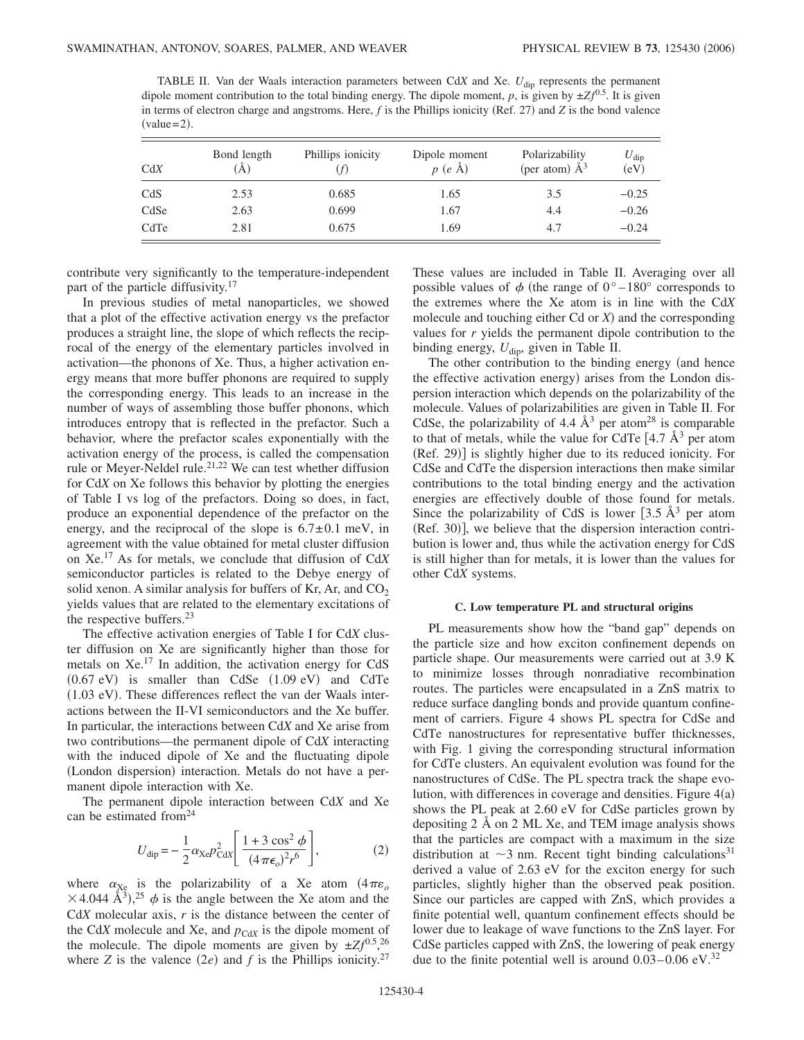TABLE II. Van der Waals interaction parameters between Cd*X* and Xe. *U*dip represents the permanent dipole moment contribution to the total binding energy. The dipole moment,  $p$ , is given by  $\pm Zf^{0.5}$ . It is given in terms of electron charge and angstroms. Here,  $f$  is the Phillips ionicity (Ref. 27) and  $Z$  is the bond valence  $(value=2).$ 

| CdX  | Bond length<br>A) | Phillips ionicity | Dipole moment<br>$p(e \AA)$ | Polarizability<br>(per atom) $\AA^3$ | $U_{\rm dip}$<br>(eV) |
|------|-------------------|-------------------|-----------------------------|--------------------------------------|-----------------------|
| CdS  | 2.53              | 0.685             | 1.65                        | 3.5                                  | $-0.25$               |
| CdSe | 2.63              | 0.699             | 1.67                        | 4.4                                  | $-0.26$               |
| CdTe | 2.81              | 0.675             | 1.69                        | 4.7                                  | $-0.24$               |

contribute very significantly to the temperature-independent part of the particle diffusivity.<sup>17</sup>

In previous studies of metal nanoparticles, we showed that a plot of the effective activation energy vs the prefactor produces a straight line, the slope of which reflects the reciprocal of the energy of the elementary particles involved in activation—the phonons of Xe. Thus, a higher activation energy means that more buffer phonons are required to supply the corresponding energy. This leads to an increase in the number of ways of assembling those buffer phonons, which introduces entropy that is reflected in the prefactor. Such a behavior, where the prefactor scales exponentially with the activation energy of the process, is called the compensation rule or Meyer-Neldel rule.<sup>21,22</sup> We can test whether diffusion for Cd*X* on Xe follows this behavior by plotting the energies of Table I vs log of the prefactors. Doing so does, in fact, produce an exponential dependence of the prefactor on the energy, and the reciprocal of the slope is  $6.7 \pm 0.1$  meV, in agreement with the value obtained for metal cluster diffusion on Xe.<sup>17</sup> As for metals, we conclude that diffusion of Cd*X* semiconductor particles is related to the Debye energy of solid xenon. A similar analysis for buffers of Kr, Ar, and  $CO<sub>2</sub>$ yields values that are related to the elementary excitations of the respective buffers. $23$ 

The effective activation energies of Table I for Cd*X* cluster diffusion on Xe are significantly higher than those for metals on Xe.17 In addition, the activation energy for CdS  $(0.67 \text{ eV})$  is smaller than CdSe  $(1.09 \text{ eV})$  and CdTe (1.03 eV). These differences reflect the van der Waals interactions between the II-VI semiconductors and the Xe buffer. In particular, the interactions between Cd*X* and Xe arise from two contributions—the permanent dipole of Cd*X* interacting with the induced dipole of Xe and the fluctuating dipole (London dispersion) interaction. Metals do not have a permanent dipole interaction with Xe.

The permanent dipole interaction between Cd*X* and Xe can be estimated from  $24$ 

$$
U_{\rm dip} = -\frac{1}{2}\alpha_{\rm Xe}p_{\rm CdX}^2 \left[ \frac{1+3\cos^2\phi}{(4\pi\epsilon_o)^2 r^6} \right],
$$
 (2)

where  $\alpha_{\text{Xe}}$  is the polarizability of a Xe atom  $(4\pi\varepsilon_o)$  $\times$  4.044 Å<sup>3</sup>),<sup>25</sup>  $\phi$  is the angle between the Xe atom and the Cd*X* molecular axis, *r* is the distance between the center of the Cd*X* molecule and Xe, and  $p_{\text{CdX}}$  is the dipole moment of the molecule. The dipole moments are given by  $\pm Zf^{0.5}$ , <sup>26</sup> where *Z* is the valence  $(2e)$  and *f* is the Phillips ionicity.<sup>27</sup>

These values are included in Table II. Averaging over all possible values of  $\phi$  (the range of 0°–180° corresponds to the extremes where the Xe atom is in line with the Cd*X* molecule and touching either  $Cd$  or  $X$ ) and the corresponding values for *r* yields the permanent dipole contribution to the binding energy,  $U_{\text{dip}}$ , given in Table II.

The other contribution to the binding energy (and hence the effective activation energy) arises from the London dispersion interaction which depends on the polarizability of the molecule. Values of polarizabilities are given in Table II. For CdSe, the polarizability of 4.4  $\AA$ <sup>3</sup> per atom<sup>28</sup> is comparable to that of metals, while the value for CdTe  $[4.7 \text{ Å}^3$  per atom (Ref. 29)] is slightly higher due to its reduced ionicity. For CdSe and CdTe the dispersion interactions then make similar contributions to the total binding energy and the activation energies are effectively double of those found for metals. Since the polarizability of CdS is lower  $[3.5 \text{ Å}^3$  per atom (Ref. 30)], we believe that the dispersion interaction contribution is lower and, thus while the activation energy for CdS is still higher than for metals, it is lower than the values for other Cd*X* systems.

#### **C. Low temperature PL and structural origins**

PL measurements show how the "band gap" depends on the particle size and how exciton confinement depends on particle shape. Our measurements were carried out at 3.9 K to minimize losses through nonradiative recombination routes. The particles were encapsulated in a ZnS matrix to reduce surface dangling bonds and provide quantum confinement of carriers. Figure 4 shows PL spectra for CdSe and CdTe nanostructures for representative buffer thicknesses, with Fig. 1 giving the corresponding structural information for CdTe clusters. An equivalent evolution was found for the nanostructures of CdSe. The PL spectra track the shape evolution, with differences in coverage and densities. Figure  $4(a)$ shows the PL peak at 2.60 eV for CdSe particles grown by depositing 2 Å on 2 ML Xe, and TEM image analysis shows that the particles are compact with a maximum in the size distribution at  $\sim$ 3 nm. Recent tight binding calculations<sup>31</sup> derived a value of 2.63 eV for the exciton energy for such particles, slightly higher than the observed peak position. Since our particles are capped with ZnS, which provides a finite potential well, quantum confinement effects should be lower due to leakage of wave functions to the ZnS layer. For CdSe particles capped with ZnS, the lowering of peak energy due to the finite potential well is around  $0.03-0.06$  eV.<sup>32</sup>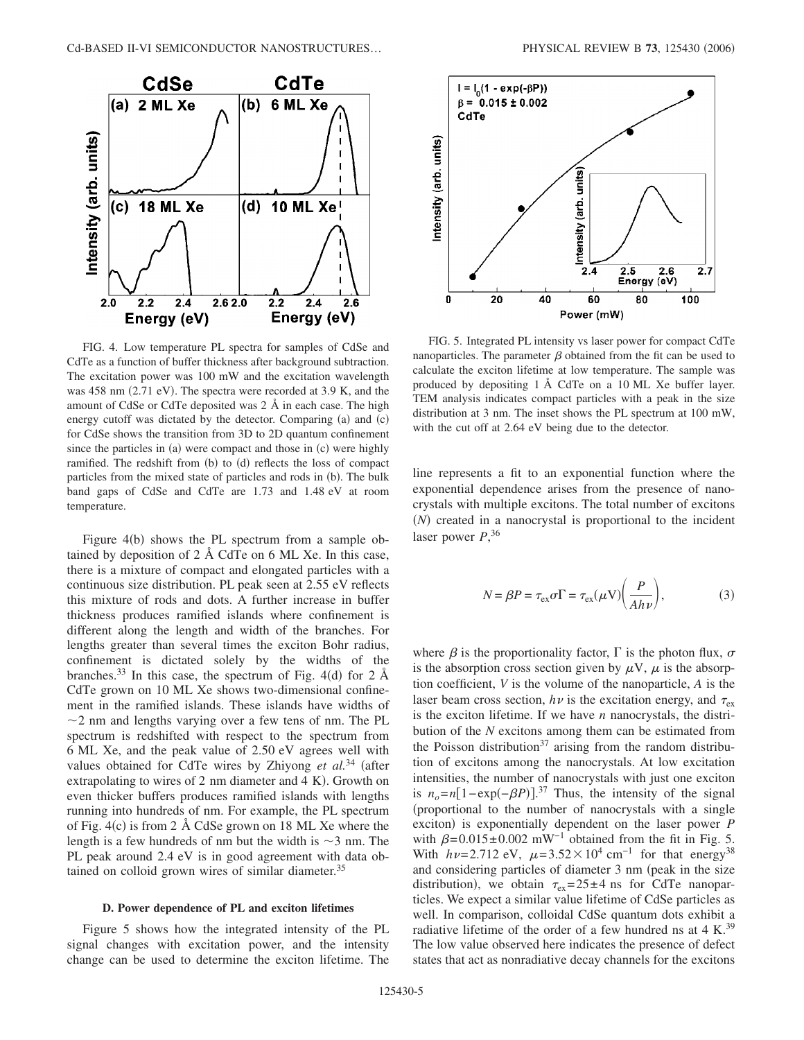

FIG. 4. Low temperature PL spectra for samples of CdSe and CdTe as a function of buffer thickness after background subtraction. The excitation power was 100 mW and the excitation wavelength was 458 nm (2.71 eV). The spectra were recorded at 3.9 K, and the amount of CdSe or CdTe deposited was 2 Å in each case. The high energy cutoff was dictated by the detector. Comparing (a) and (c) for CdSe shows the transition from 3D to 2D quantum confinement since the particles in (a) were compact and those in (c) were highly ramified. The redshift from (b) to (d) reflects the loss of compact particles from the mixed state of particles and rods in (b). The bulk band gaps of CdSe and CdTe are 1.73 and 1.48 eV at room temperature.

Figure 4(b) shows the PL spectrum from a sample obtained by deposition of 2 Å CdTe on 6 ML Xe. In this case, there is a mixture of compact and elongated particles with a continuous size distribution. PL peak seen at 2.55 eV reflects this mixture of rods and dots. A further increase in buffer thickness produces ramified islands where confinement is different along the length and width of the branches. For lengths greater than several times the exciton Bohr radius, confinement is dictated solely by the widths of the branches.<sup>33</sup> In this case, the spectrum of Fig. 4(d) for 2  $\AA$ CdTe grown on 10 ML Xe shows two-dimensional confinement in the ramified islands. These islands have widths of  $\sim$ 2 nm and lengths varying over a few tens of nm. The PL spectrum is redshifted with respect to the spectrum from 6 ML Xe, and the peak value of 2.50 eV agrees well with values obtained for CdTe wires by Zhiyong *et al.*<sup>34</sup> (after extrapolating to wires of 2 nm diameter and 4 K). Growth on even thicker buffers produces ramified islands with lengths running into hundreds of nm. For example, the PL spectrum of Fig.  $4(c)$  is from 2 Å CdSe grown on 18 ML Xe where the length is a few hundreds of nm but the width is  $\sim$ 3 nm. The PL peak around 2.4 eV is in good agreement with data obtained on colloid grown wires of similar diameter.<sup>35</sup>

## **D. Power dependence of PL and exciton lifetimes**

Figure 5 shows how the integrated intensity of the PL signal changes with excitation power, and the intensity change can be used to determine the exciton lifetime. The



FIG. 5. Integrated PL intensity vs laser power for compact CdTe nanoparticles. The parameter  $\beta$  obtained from the fit can be used to calculate the exciton lifetime at low temperature. The sample was produced by depositing 1 Å CdTe on a 10 ML Xe buffer layer. TEM analysis indicates compact particles with a peak in the size distribution at 3 nm. The inset shows the PL spectrum at 100 mW, with the cut off at 2.64 eV being due to the detector.

line represents a fit to an exponential function where the exponential dependence arises from the presence of nanocrystals with multiple excitons. The total number of excitons (N) created in a nanocrystal is proportional to the incident laser power *P*, 36

$$
N = \beta P = \tau_{\text{ex}} \sigma \Gamma = \tau_{\text{ex}} (\mu V) \left( \frac{P}{A h \nu} \right),\tag{3}
$$

where  $\beta$  is the proportionality factor,  $\Gamma$  is the photon flux,  $\sigma$ is the absorption cross section given by  $\mu V$ ,  $\mu$  is the absorption coefficient, *V* is the volume of the nanoparticle, *A* is the laser beam cross section,  $h\nu$  is the excitation energy, and  $\tau_{ex}$ is the exciton lifetime. If we have *n* nanocrystals, the distribution of the *N* excitons among them can be estimated from the Poisson distribution<sup>37</sup> arising from the random distribution of excitons among the nanocrystals. At low excitation intensities, the number of nanocrystals with just one exciton is  $n_o = n[1 - \exp(-\beta P)]^{37}$  Thus, the intensity of the signal proportional to the number of nanocrystals with a single exciton) is exponentially dependent on the laser power *P* with  $\beta = 0.015 \pm 0.002$  mW<sup>-1</sup> obtained from the fit in Fig. 5. With  $h\nu = 2.712 \text{ eV}$ ,  $\mu = 3.52 \times 10^4 \text{ cm}^{-1}$  for that energy<sup>38</sup> and considering particles of diameter 3 nm (peak in the size distribution), we obtain  $\tau_{ex} = 25 \pm 4$  ns for CdTe nanoparticles. We expect a similar value lifetime of CdSe particles as well. In comparison, colloidal CdSe quantum dots exhibit a radiative lifetime of the order of a few hundred ns at  $4 K^{39}$ The low value observed here indicates the presence of defect states that act as nonradiative decay channels for the excitons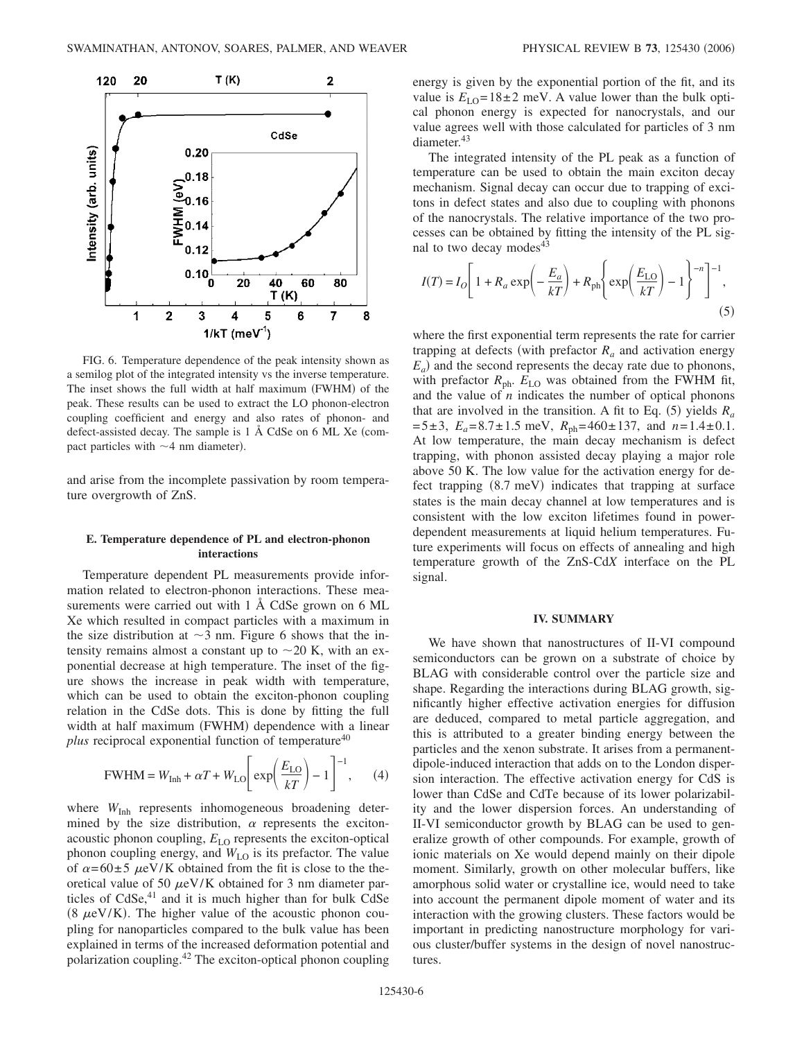

FIG. 6. Temperature dependence of the peak intensity shown as a semilog plot of the integrated intensity vs the inverse temperature. The inset shows the full width at half maximum (FWHM) of the peak. These results can be used to extract the LO phonon-electron coupling coefficient and energy and also rates of phonon- and defect-assisted decay. The sample is 1 Å CdSe on 6 ML Xe (compact particles with  $\sim$  4 nm diameter).

and arise from the incomplete passivation by room temperature overgrowth of ZnS.

## **E. Temperature dependence of PL and electron-phonon interactions**

Temperature dependent PL measurements provide information related to electron-phonon interactions. These measurements were carried out with 1 Å CdSe grown on 6 ML Xe which resulted in compact particles with a maximum in the size distribution at  $\sim$ 3 nm. Figure 6 shows that the intensity remains almost a constant up to  $\sim$  20 K, with an exponential decrease at high temperature. The inset of the figure shows the increase in peak width with temperature, which can be used to obtain the exciton-phonon coupling relation in the CdSe dots. This is done by fitting the full width at half maximum (FWHM) dependence with a linear *plus* reciprocal exponential function of temperature<sup>40</sup>

$$
\text{FWHM} = W_{\text{Inh}} + \alpha T + W_{\text{LO}} \left[ \exp\left(\frac{E_{\text{LO}}}{kT}\right) - 1 \right]^{-1}, \quad (4)
$$

where  $W_{\text{Inh}}$  represents inhomogeneous broadening determined by the size distribution,  $\alpha$  represents the excitonacoustic phonon coupling,  $E_{\text{LO}}$  represents the exciton-optical phonon coupling energy, and  $W_{\text{LO}}$  is its prefactor. The value of  $\alpha = 60 \pm 5$   $\mu$ eV/K obtained from the fit is close to the theoretical value of 50  $\mu$ eV/K obtained for 3 nm diameter particles of  $CdSe<sub>1</sub><sup>41</sup>$  and it is much higher than for bulk  $CdSe$ (8  $\mu$ eV/K). The higher value of the acoustic phonon coupling for nanoparticles compared to the bulk value has been explained in terms of the increased deformation potential and polarization coupling.42 The exciton-optical phonon coupling energy is given by the exponential portion of the fit, and its value is  $E_{LO} = 18 \pm 2$  meV. A value lower than the bulk optical phonon energy is expected for nanocrystals, and our value agrees well with those calculated for particles of 3 nm diameter.<sup>43</sup>

The integrated intensity of the PL peak as a function of temperature can be used to obtain the main exciton decay mechanism. Signal decay can occur due to trapping of excitons in defect states and also due to coupling with phonons of the nanocrystals. The relative importance of the two processes can be obtained by fitting the intensity of the PL signal to two decay modes<sup>43</sup>

$$
I(T) = I_O \left[ 1 + R_a \exp\left(-\frac{E_a}{kT}\right) + R_{\text{ph}} \left\{ \exp\left(\frac{E_{\text{LO}}}{kT}\right) - 1 \right\}^{-n} \right]^{-1}, \tag{5}
$$

where the first exponential term represents the rate for carrier trapping at defects (with prefactor  $R_a$  and activation energy  $E_a$ ) and the second represents the decay rate due to phonons, with prefactor  $R_{ph}$ .  $E_{LO}$  was obtained from the FWHM fit, and the value of  $n$  indicates the number of optical phonons that are involved in the transition. A fit to Eq.  $(5)$  yields  $R_a$  $=5\pm3$ ,  $E_a = 8.7\pm1.5$  meV,  $R_{ph} = 460\pm137$ , and  $n=1.4\pm0.1$ . At low temperature, the main decay mechanism is defect trapping, with phonon assisted decay playing a major role above 50 K. The low value for the activation energy for defect trapping (8.7 meV) indicates that trapping at surface states is the main decay channel at low temperatures and is consistent with the low exciton lifetimes found in powerdependent measurements at liquid helium temperatures. Future experiments will focus on effects of annealing and high temperature growth of the ZnS-Cd*X* interface on the PL signal.

#### **IV. SUMMARY**

We have shown that nanostructures of II-VI compound semiconductors can be grown on a substrate of choice by BLAG with considerable control over the particle size and shape. Regarding the interactions during BLAG growth, significantly higher effective activation energies for diffusion are deduced, compared to metal particle aggregation, and this is attributed to a greater binding energy between the particles and the xenon substrate. It arises from a permanentdipole-induced interaction that adds on to the London dispersion interaction. The effective activation energy for CdS is lower than CdSe and CdTe because of its lower polarizability and the lower dispersion forces. An understanding of II-VI semiconductor growth by BLAG can be used to generalize growth of other compounds. For example, growth of ionic materials on Xe would depend mainly on their dipole moment. Similarly, growth on other molecular buffers, like amorphous solid water or crystalline ice, would need to take into account the permanent dipole moment of water and its interaction with the growing clusters. These factors would be important in predicting nanostructure morphology for various cluster/buffer systems in the design of novel nanostructures.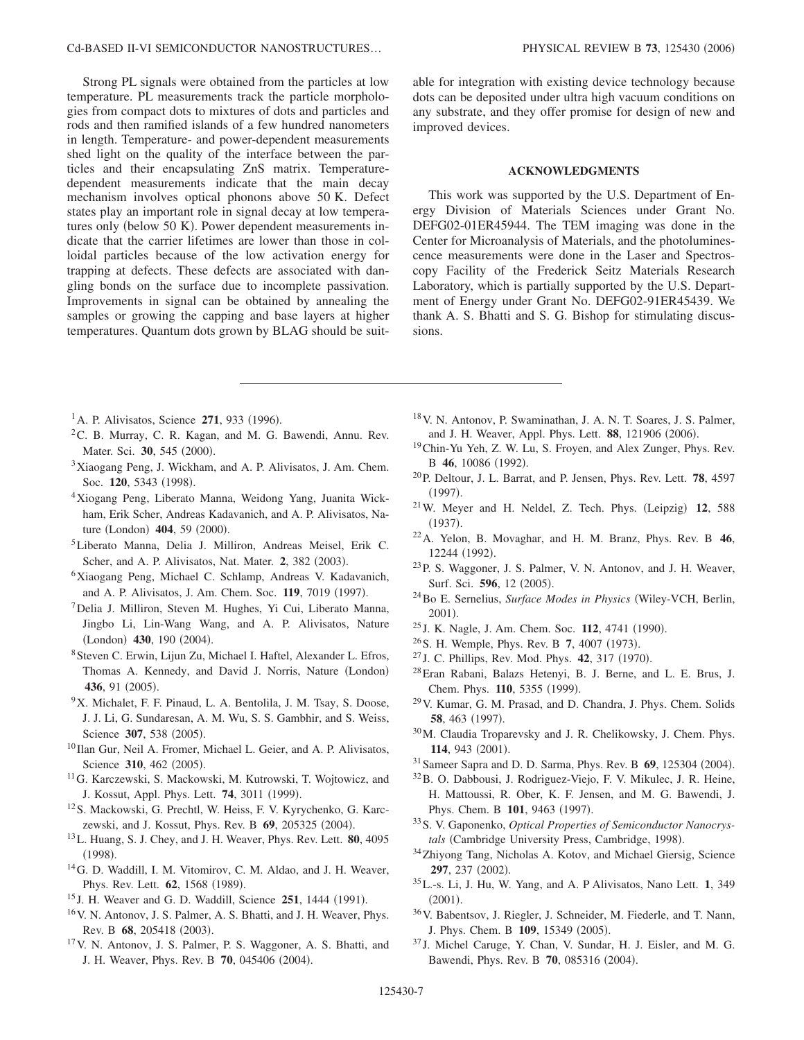Strong PL signals were obtained from the particles at low temperature. PL measurements track the particle morphologies from compact dots to mixtures of dots and particles and rods and then ramified islands of a few hundred nanometers in length. Temperature- and power-dependent measurements shed light on the quality of the interface between the particles and their encapsulating ZnS matrix. Temperaturedependent measurements indicate that the main decay mechanism involves optical phonons above 50 K. Defect states play an important role in signal decay at low temperatures only (below 50 K). Power dependent measurements indicate that the carrier lifetimes are lower than those in colloidal particles because of the low activation energy for trapping at defects. These defects are associated with dangling bonds on the surface due to incomplete passivation. Improvements in signal can be obtained by annealing the samples or growing the capping and base layers at higher temperatures. Quantum dots grown by BLAG should be suitable for integration with existing device technology because dots can be deposited under ultra high vacuum conditions on any substrate, and they offer promise for design of new and improved devices.

## **ACKNOWLEDGMENTS**

This work was supported by the U.S. Department of Energy Division of Materials Sciences under Grant No. DEFG02-01ER45944. The TEM imaging was done in the Center for Microanalysis of Materials, and the photoluminescence measurements were done in the Laser and Spectroscopy Facility of the Frederick Seitz Materials Research Laboratory, which is partially supported by the U.S. Department of Energy under Grant No. DEFG02-91ER45439. We thank A. S. Bhatti and S. G. Bishop for stimulating discussions.

- <sup>1</sup> A. P. Alivisatos, Science 271, 933 (1996).
- <sup>2</sup>C. B. Murray, C. R. Kagan, and M. G. Bawendi, Annu. Rev. Mater. Sci. 30, 545 (2000).
- 3Xiaogang Peng, J. Wickham, and A. P. Alivisatos, J. Am. Chem. Soc. 120, 5343 (1998).
- 4Xiogang Peng, Liberato Manna, Weidong Yang, Juanita Wickham, Erik Scher, Andreas Kadavanich, and A. P. Alivisatos, Nature (London) 404, 59 (2000).
- 5Liberato Manna, Delia J. Milliron, Andreas Meisel, Erik C. Scher, and A. P. Alivisatos, Nat. Mater. 2, 382 (2003).
- 6Xiaogang Peng, Michael C. Schlamp, Andreas V. Kadavanich, and A. P. Alivisatos, J. Am. Chem. Soc. 119, 7019 (1997).
- 7Delia J. Milliron, Steven M. Hughes, Yi Cui, Liberato Manna, Jingbo Li, Lin-Wang Wang, and A. P. Alivisatos, Nature (London) 430, 190 (2004).
- 8Steven C. Erwin, Lijun Zu, Michael I. Haftel, Alexander L. Efros, Thomas A. Kennedy, and David J. Norris, Nature (London) 436, 91 (2005).
- 9X. Michalet, F. F. Pinaud, L. A. Bentolila, J. M. Tsay, S. Doose, J. J. Li, G. Sundaresan, A. M. Wu, S. S. Gambhir, and S. Weiss, Science 307, 538 (2005).
- <sup>10</sup> Ilan Gur, Neil A. Fromer, Michael L. Geier, and A. P. Alivisatos, Science 310, 462 (2005).
- <sup>11</sup>G. Karczewski, S. Mackowski, M. Kutrowski, T. Wojtowicz, and J. Kossut, Appl. Phys. Lett. **74**, 3011 (1999).
- 12S. Mackowski, G. Prechtl, W. Heiss, F. V. Kyrychenko, G. Karczewski, and J. Kossut, Phys. Rev. B 69, 205325 (2004).
- 13L. Huang, S. J. Chey, and J. H. Weaver, Phys. Rev. Lett. **80**, 4095  $(1998).$
- 14G. D. Waddill, I. M. Vitomirov, C. M. Aldao, and J. H. Weaver, Phys. Rev. Lett. **62**, 1568 (1989).
- <sup>15</sup> J. H. Weaver and G. D. Waddill, Science **251**, 1444 (1991).
- 16V. N. Antonov, J. S. Palmer, A. S. Bhatti, and J. H. Weaver, Phys. Rev. B 68, 205418 (2003).
- 17V. N. Antonov, J. S. Palmer, P. S. Waggoner, A. S. Bhatti, and J. H. Weaver, Phys. Rev. B 70, 045406 (2004).
- 18V. N. Antonov, P. Swaminathan, J. A. N. T. Soares, J. S. Palmer, and J. H. Weaver, Appl. Phys. Lett. 88, 121906 (2006).
- 19Chin-Yu Yeh, Z. W. Lu, S. Froyen, and Alex Zunger, Phys. Rev. B 46, 10086 (1992).
- 20P. Deltour, J. L. Barrat, and P. Jensen, Phys. Rev. Lett. **78**, 4597  $(1997).$
- $21$ W. Meyer and H. Neldel, Z. Tech. Phys. (Leipzig)  $12$ , 588  $(1937).$
- 22A. Yelon, B. Movaghar, and H. M. Branz, Phys. Rev. B **46**, 12244 (1992).
- 23P. S. Waggoner, J. S. Palmer, V. N. Antonov, and J. H. Weaver, Surf. Sci. 596, 12 (2005).
- 24Bo E. Sernelius, *Surface Modes in Physics* Wiley-VCH, Berlin, 2001).
- <sup>25</sup> J. K. Nagle, J. Am. Chem. Soc. **112**, 4741 (1990).
- <sup>26</sup> S. H. Wemple, Phys. Rev. B 7, 4007 (1973).
- <sup>27</sup> J. C. Phillips, Rev. Mod. Phys. **42**, 317 (1970).
- 28Eran Rabani, Balazs Hetenyi, B. J. Berne, and L. E. Brus, J. Chem. Phys. 110, 5355 (1999).
- 29V. Kumar, G. M. Prasad, and D. Chandra, J. Phys. Chem. Solids **58**, 463 (1997).
- 30M. Claudia Troparevsky and J. R. Chelikowsky, J. Chem. Phys. 114, 943 (2001).
- <sup>31</sup> Sameer Sapra and D. D. Sarma, Phys. Rev. B 69, 125304 (2004).
- 32B. O. Dabbousi, J. Rodriguez-Viejo, F. V. Mikulec, J. R. Heine, H. Mattoussi, R. Ober, K. F. Jensen, and M. G. Bawendi, J. Phys. Chem. B 101, 9463 (1997).
- 33S. V. Gaponenko, *Optical Properties of Semiconductor Nanocrys*tals (Cambridge University Press, Cambridge, 1998).
- <sup>34</sup>Zhiyong Tang, Nicholas A. Kotov, and Michael Giersig, Science **297**, 237 (2002).
- 35L.-s. Li, J. Hu, W. Yang, and A. P Alivisatos, Nano Lett. **1**, 349  $(2001).$
- 36V. Babentsov, J. Riegler, J. Schneider, M. Fiederle, and T. Nann, J. Phys. Chem. B 109, 15349 (2005).
- <sup>37</sup> J. Michel Caruge, Y. Chan, V. Sundar, H. J. Eisler, and M. G. Bawendi, Phys. Rev. B 70, 085316 (2004).